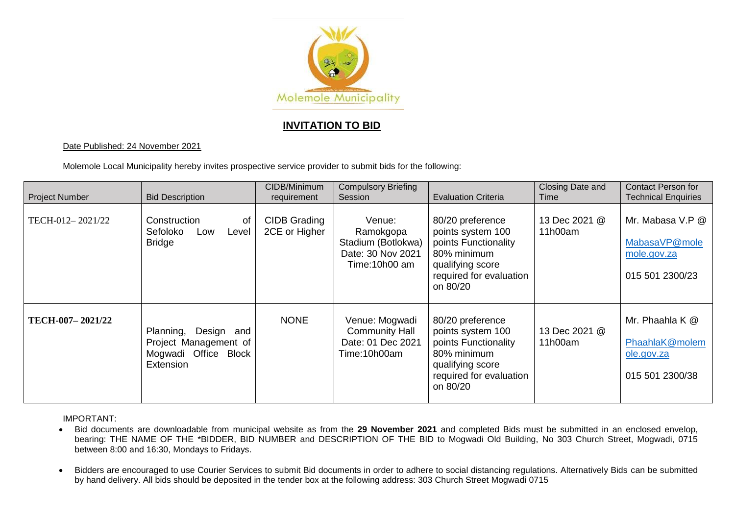

## **INVITATION TO BID**

## Date Published: 24 November 2021

Molemole Local Municipality hereby invites prospective service provider to submit bids for the following:

| <b>Project Number</b> | <b>Bid Description</b>                                                                | CIDB/Minimum<br>requirement   | <b>Compulsory Briefing</b><br>Session                                           | <b>Evaluation Criteria</b>                                                                                                              | Closing Date and<br>Time | <b>Contact Person for</b><br><b>Technical Enquiries</b>             |
|-----------------------|---------------------------------------------------------------------------------------|-------------------------------|---------------------------------------------------------------------------------|-----------------------------------------------------------------------------------------------------------------------------------------|--------------------------|---------------------------------------------------------------------|
| TECH-012-2021/22      | Construction<br>οf<br>Sefoloko<br>Level<br>Low<br><b>Bridge</b>                       | CIDB Grading<br>2CE or Higher | Venue:<br>Ramokgopa<br>Stadium (Botlokwa)<br>Date: 30 Nov 2021<br>Time:10h00 am | 80/20 preference<br>points system 100<br>points Functionality<br>80% minimum<br>qualifying score<br>required for evaluation<br>on 80/20 | 13 Dec 2021 @<br>11h00am | Mr. Mabasa V.P @<br>MabasaVP@mole<br>mole.gov.za<br>015 501 2300/23 |
| TECH-007-2021/22      | Planning, Design<br>and<br>Project Management of<br>Mogwadi Office Block<br>Extension | <b>NONE</b>                   | Venue: Mogwadi<br><b>Community Hall</b><br>Date: 01 Dec 2021<br>Time:10h00am    | 80/20 preference<br>points system 100<br>points Functionality<br>80% minimum<br>qualifying score<br>required for evaluation<br>on 80/20 | 13 Dec 2021 @<br>11h00am | Mr. Phaahla K @<br>PhaahlaK@molem<br>ole.gov.za<br>015 501 2300/38  |

IMPORTANT:

- Bid documents are downloadable from municipal website as from the **29 November 2021** and completed Bids must be submitted in an enclosed envelop, bearing: THE NAME OF THE \*BIDDER, BID NUMBER and DESCRIPTION OF THE BID to Mogwadi Old Building, No 303 Church Street, Mogwadi, 0715 between 8:00 and 16:30, Mondays to Fridays.
- Bidders are encouraged to use Courier Services to submit Bid documents in order to adhere to social distancing regulations. Alternatively Bids can be submitted by hand delivery. All bids should be deposited in the tender box at the following address: 303 Church Street Mogwadi 0715